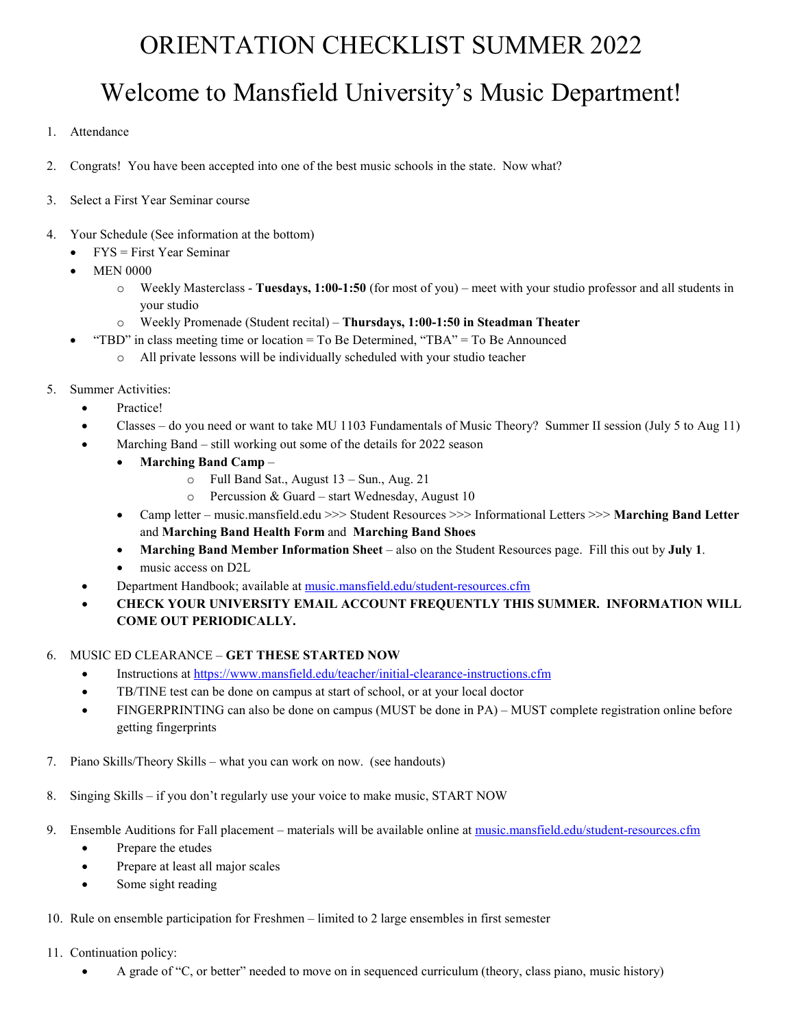## ORIENTATION CHECKLIST SUMMER 2022

# Welcome to Mansfield University's Music Department!

- 1. Attendance
- 2. Congrats! You have been accepted into one of the best music schools in the state. Now what?
- 3. Select a First Year Seminar course
- 4. Your Schedule (See information at the bottom)
	- $FYS = First Year$  Seminar
	- **MEN 0000** 
		- o Weekly Masterclass **Tuesdays, 1:00-1:50** (for most of you) meet with your studio professor and all students in your studio
		- o Weekly Promenade (Student recital) **Thursdays, 1:00-1:50 in Steadman Theater**
	- "TBD" in class meeting time or location = To Be Determined, "TBA" = To Be Announced
		- o All private lessons will be individually scheduled with your studio teacher
- 5. Summer Activities:
	- Practice!
	- Classes do you need or want to take MU 1103 Fundamentals of Music Theory? Summer II session (July 5 to Aug 11)
		- Marching Band still working out some of the details for 2022 season
			- **Marching Band Camp**
				- o Full Band Sat., August 13 Sun., Aug. 21
				- o Percussion & Guard start Wednesday, August 10
			- Camp letter music.mansfield.edu >>> Student Resources >>> Informational Letters >>> **Marching Band Letter** and **Marching Band Health Form** and **Marching Band Shoes**
			- **Marching Band Member Information Sheet** also on the Student Resources page. Fill this out by **July 1**.
			- music access on D2L
		- Department Handbook; available at [music.mansfield.edu/student-resources.cfm](http://music.mansfield.edu/student-resources.cfm)
	- **CHECK YOUR UNIVERSITY EMAIL ACCOUNT FREQUENTLY THIS SUMMER. INFORMATION WILL COME OUT PERIODICALLY.**

#### 6. MUSIC ED CLEARANCE – **GET THESE STARTED NOW**

- Instructions at<https://www.mansfield.edu/teacher/initial-clearance-instructions.cfm>
- TB/TINE test can be done on campus at start of school, or at your local doctor
- FINGERPRINTING can also be done on campus (MUST be done in PA) MUST complete registration online before getting fingerprints
- 7. Piano Skills/Theory Skills what you can work on now. (see handouts)
- 8. Singing Skills if you don't regularly use your voice to make music, START NOW
- 9. Ensemble Auditions for Fall placement materials will be available online at [music.mansfield.edu/student-resources.cfm](http://music.mansfield.edu/student-resources.cfm)
	- Prepare the etudes
	- Prepare at least all major scales
	- Some sight reading
- 10. Rule on ensemble participation for Freshmen limited to 2 large ensembles in first semester
- 11. Continuation policy:
	- A grade of "C, or better" needed to move on in sequenced curriculum (theory, class piano, music history)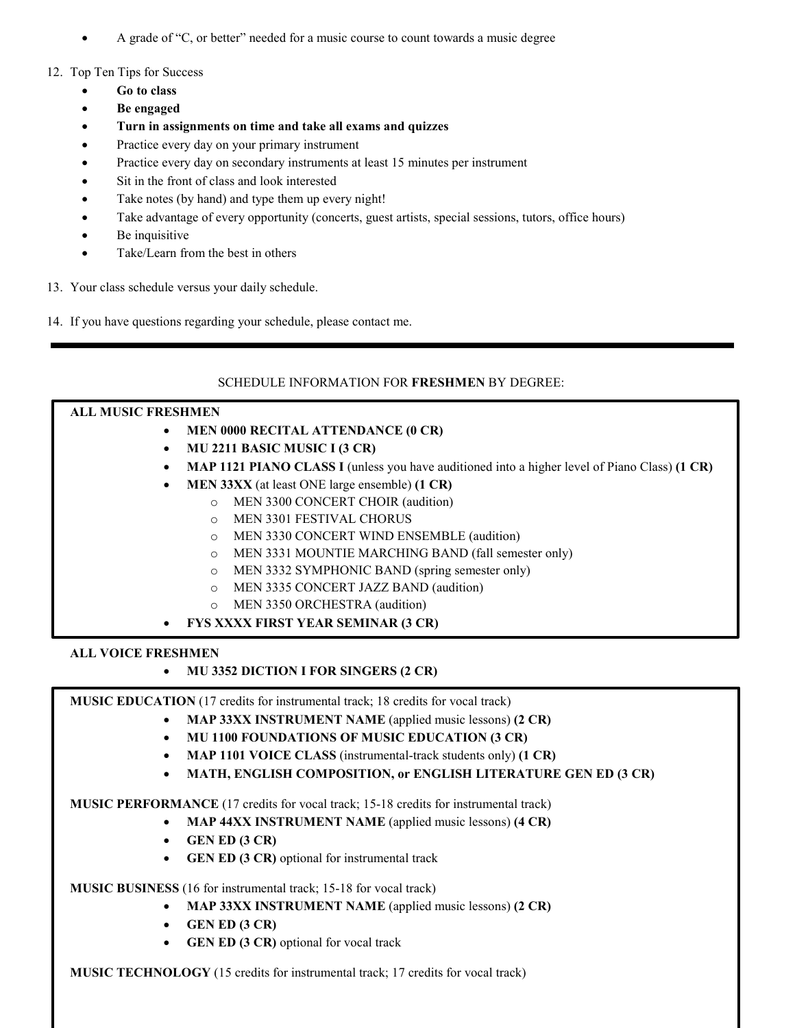- A grade of "C, or better" needed for a music course to count towards a music degree
- 12. Top Ten Tips for Success
	- **Go to class**
	- **Be engaged**
	- **Turn in assignments on time and take all exams and quizzes**
	- Practice every day on your primary instrument
	- Practice every day on secondary instruments at least 15 minutes per instrument
	- Sit in the front of class and look interested
	- Take notes (by hand) and type them up every night!
	- Take advantage of every opportunity (concerts, guest artists, special sessions, tutors, office hours)
	- Be inquisitive
	- Take/Learn from the best in others
- 13. Your class schedule versus your daily schedule.
- 14. If you have questions regarding your schedule, please contact me.

## SCHEDULE INFORMATION FOR **FRESHMEN** BY DEGREE:

#### **ALL MUSIC FRESHMEN**

- **MEN 0000 RECITAL ATTENDANCE (0 CR)**
- **MU 2211 BASIC MUSIC I (3 CR)**
- **MAP 1121 PIANO CLASS I** (unless you have auditioned into a higher level of Piano Class) (1 CR)
- **MEN 33XX** (at least ONE large ensemble) **(1 CR)**
	- o MEN 3300 CONCERT CHOIR (audition)
	- o MEN 3301 FESTIVAL CHORUS
	- o MEN 3330 CONCERT WIND ENSEMBLE (audition)
	- o MEN 3331 MOUNTIE MARCHING BAND (fall semester only)
	- o MEN 3332 SYMPHONIC BAND (spring semester only)
	- o MEN 3335 CONCERT JAZZ BAND (audition)
	- MEN 3350 ORCHESTRA (audition)
- **FYS XXXX FIRST YEAR SEMINAR (3 CR)**

## **ALL VOICE FRESHMEN**

## • **MU 3352 DICTION I FOR SINGERS (2 CR)**

**MUSIC EDUCATION** (17 credits for instrumental track; 18 credits for vocal track)

- **MAP 33XX INSTRUMENT NAME** (applied music lessons) **(2 CR)**
- **MU 1100 FOUNDATIONS OF MUSIC EDUCATION (3 CR)**
- **MAP 1101 VOICE CLASS** (instrumental-track students only) **(1 CR)**
- **MATH, ENGLISH COMPOSITION, or ENGLISH LITERATURE GEN ED (3 CR)**

**MUSIC PERFORMANCE** (17 credits for vocal track; 15-18 credits for instrumental track)

- **MAP 44XX INSTRUMENT NAME** (applied music lessons) **(4 CR)**
- **GEN ED (3 CR)**
- **GEN ED (3 CR)** optional for instrumental track

**MUSIC BUSINESS** (16 for instrumental track; 15-18 for vocal track)

- **MAP 33XX INSTRUMENT NAME** (applied music lessons) **(2 CR)**
- **GEN ED (3 CR)**
- **GEN ED (3 CR)** optional for vocal track

**MUSIC TECHNOLOGY** (15 credits for instrumental track; 17 credits for vocal track)